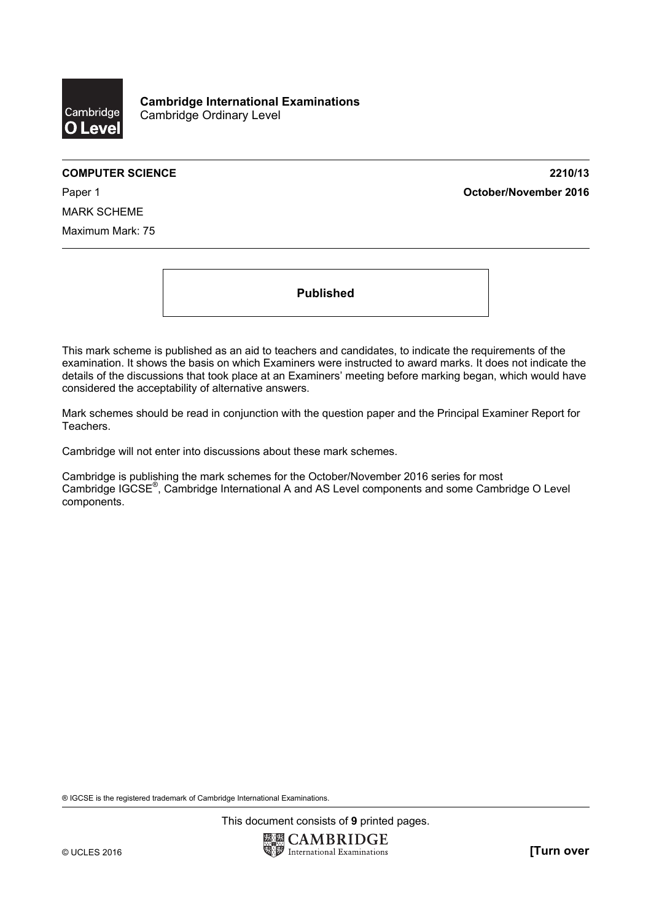

# **COMPUTER SCIENCE 2210/13**  Paper 1 **October/November 2016**

MARK SCHEME Maximum Mark: 75

**Published** 

This mark scheme is published as an aid to teachers and candidates, to indicate the requirements of the examination. It shows the basis on which Examiners were instructed to award marks. It does not indicate the details of the discussions that took place at an Examiners' meeting before marking began, which would have considered the acceptability of alternative answers.

Mark schemes should be read in conjunction with the question paper and the Principal Examiner Report for Teachers.

Cambridge will not enter into discussions about these mark schemes.

Cambridge is publishing the mark schemes for the October/November 2016 series for most Cambridge IGCSE®, Cambridge International A and AS Level components and some Cambridge O Level components.

® IGCSE is the registered trademark of Cambridge International Examinations.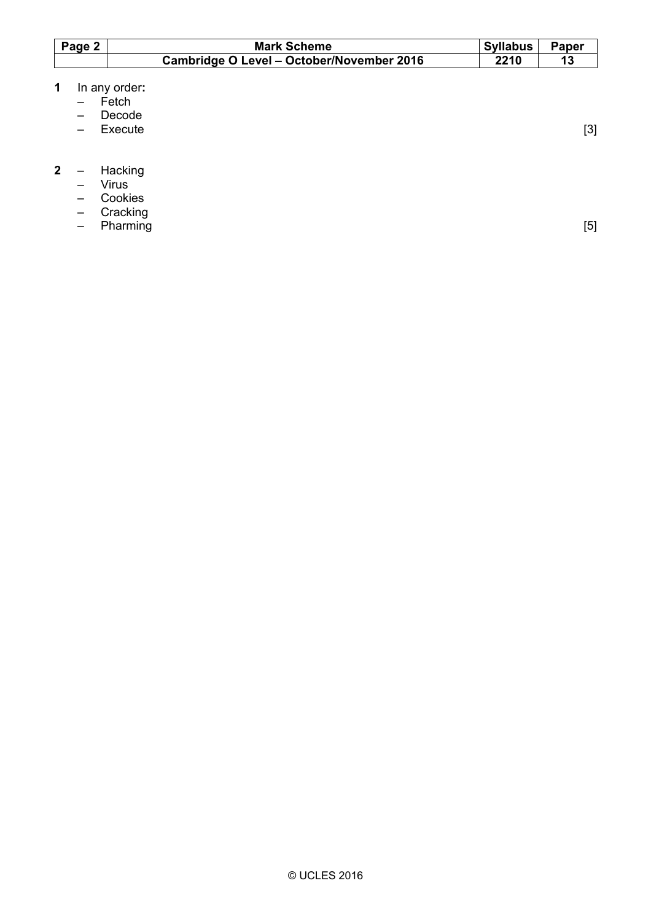| Page 2 | <b>Mark Scheme</b>                        | <b>Syllabus</b> | Paper |
|--------|-------------------------------------------|-----------------|-------|
|        | Cambridge O Level - October/November 2016 | 2210            |       |

- **1** In any order**:**
- Fetch
	- Decode
	- Execute [3]

# **2** – Hacking

- Virus
	- Cookies
	- Cracking
	- Pharming [5]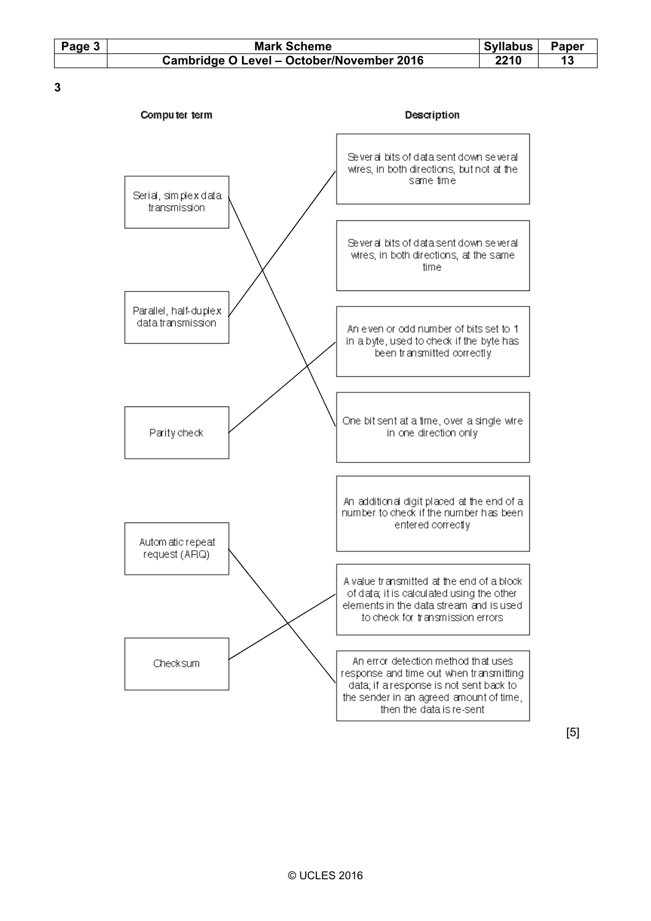| Page 3 | <b>Mark Scheme</b>                        | <b>Syllabus</b> | Paper |  |
|--------|-------------------------------------------|-----------------|-------|--|
|        | Cambridge O Level - October/November 2016 | 2210            |       |  |

**3** 



[5]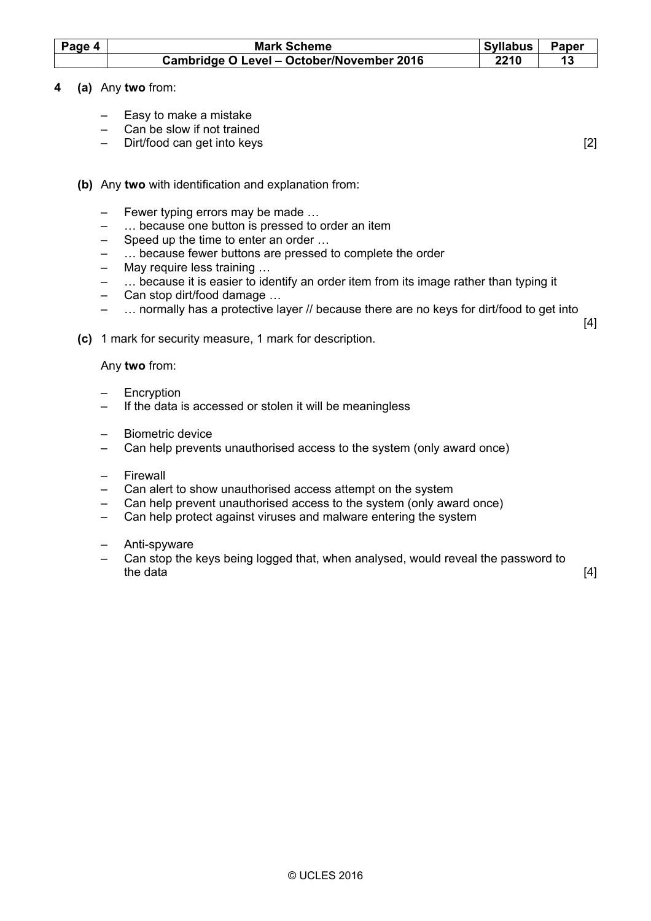| Page 4 | <b>Mark Scheme</b>                        | <b>Syllabus</b> | <b>Paper</b> |
|--------|-------------------------------------------|-----------------|--------------|
|        | Cambridge O Level - October/November 2016 | 2210            |              |

# **4 (a)** Any **two** from:

- Easy to make a mistake
- Can be slow if not trained
- Dirt/food can get into keys [2]

[4]

- **(b)** Any **two** with identification and explanation from:
	- Fewer typing errors may be made …
	- ... because one button is pressed to order an item
	- Speed up the time to enter an order …
	- ... because fewer buttons are pressed to complete the order
	- May require less training …
	- ... because it is easier to identify an order item from its image rather than typing it
	- Can stop dirt/food damage …
	- … normally has a protective layer // because there are no keys for dirt/food to get into
- **(c)** 1 mark for security measure, 1 mark for description.

Any **two** from:

- **Encryption**
- If the data is accessed or stolen it will be meaningless
- Biometric device
- Can help prevents unauthorised access to the system (only award once)
- Firewall
- Can alert to show unauthorised access attempt on the system
- Can help prevent unauthorised access to the system (only award once)
- Can help protect against viruses and malware entering the system
- Anti-spyware
- Can stop the keys being logged that, when analysed, would reveal the password to the data  $[4]$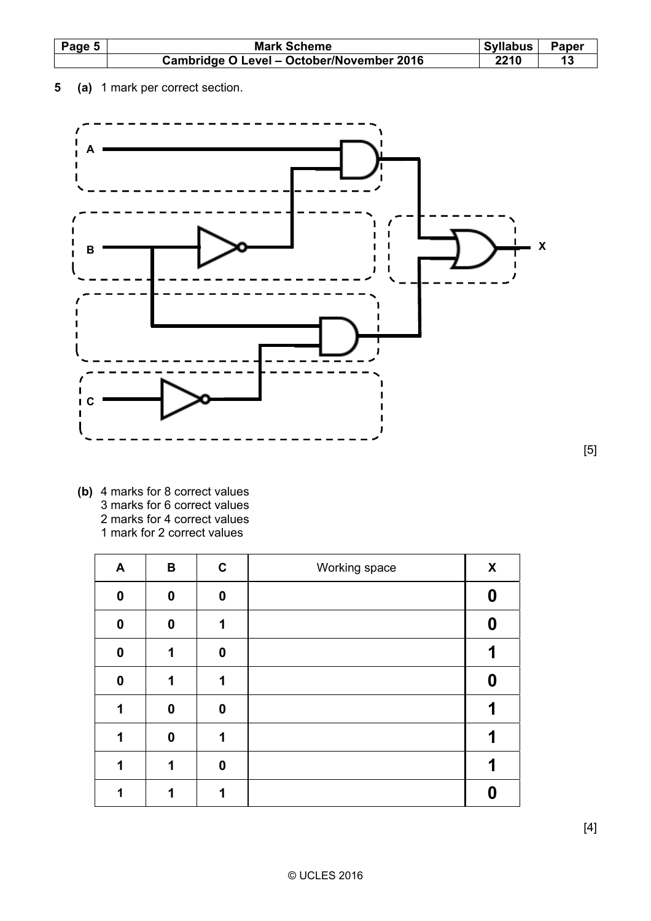| Page 5 | <b>Mark Scheme</b>                        | <b>Syllabus</b> | Paper |
|--------|-------------------------------------------|-----------------|-------|
|        | Cambridge O Level - October/November 2016 | 2210            |       |

**5 (a)** 1 mark per correct section.



 **(b)** 4 marks for 8 correct values 3 marks for 6 correct values 2 marks for 4 correct values 1 mark for 2 correct values

| A        | В           | $\mathbf c$ | Working space | X |
|----------|-------------|-------------|---------------|---|
| 0        | $\mathbf 0$ | 0           |               |   |
| $\bf{0}$ | $\bf{0}$    | 1           |               | Ω |
| $\bf{0}$ | 1           | $\bf{0}$    |               |   |
| $\bf{0}$ | 1           | 1           |               | Ω |
| 1        | $\bf{0}$    | $\bf{0}$    |               |   |
| 1        | 0           | 1           |               |   |
| 1        | 1           | $\bf{0}$    |               |   |
|          | 1           | 1           |               |   |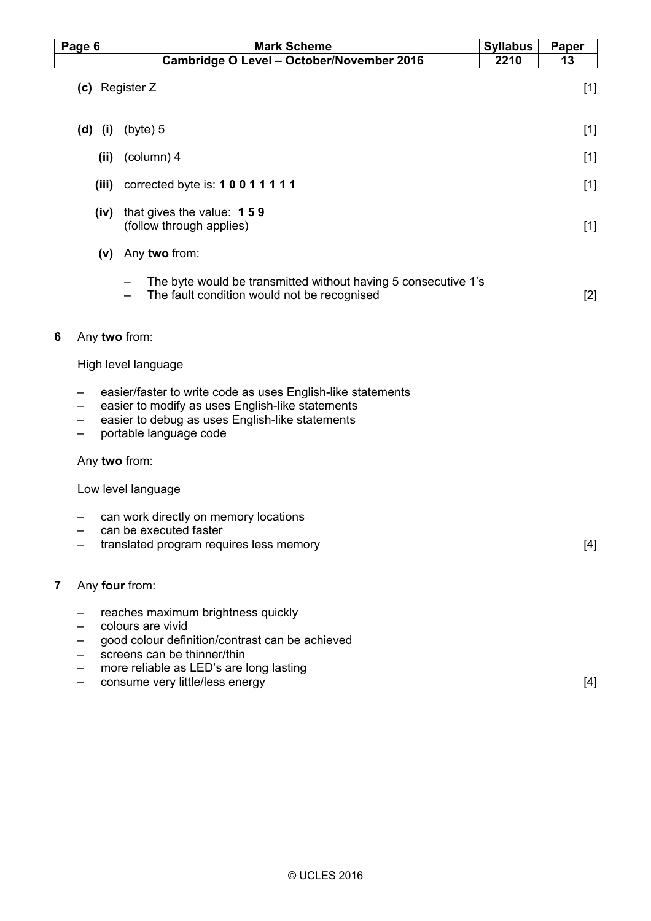|                | Page 6 |             | <b>Mark Scheme</b>                                                                                                                                                                                                      | <b>Syllabus</b> | <b>Paper</b> |
|----------------|--------|-------------|-------------------------------------------------------------------------------------------------------------------------------------------------------------------------------------------------------------------------|-----------------|--------------|
|                |        |             | Cambridge O Level - October/November 2016                                                                                                                                                                               | 2210            | 13           |
|                |        |             | (c) Register Z                                                                                                                                                                                                          |                 | $[1]$        |
|                |        | $(d)$ $(i)$ | (byte) 5                                                                                                                                                                                                                |                 | $[1]$        |
|                |        | (ii)        | (column) 4                                                                                                                                                                                                              |                 | $[1]$        |
|                |        | (iii)       | corrected byte is: 10011111                                                                                                                                                                                             |                 | $[1]$        |
|                |        | (iv)        | that gives the value: 159<br>(follow through applies)                                                                                                                                                                   |                 | $[1]$        |
|                |        |             | (v) Any two from:                                                                                                                                                                                                       |                 |              |
|                |        |             | The byte would be transmitted without having 5 consecutive 1's<br>The fault condition would not be recognised                                                                                                           |                 | $[2]$        |
| 6              |        |             | Any two from:                                                                                                                                                                                                           |                 |              |
|                |        |             | High level language                                                                                                                                                                                                     |                 |              |
|                |        |             | easier/faster to write code as uses English-like statements<br>easier to modify as uses English-like statements<br>easier to debug as uses English-like statements<br>portable language code                            |                 |              |
|                |        |             | Any two from:                                                                                                                                                                                                           |                 |              |
|                |        |             | Low level language                                                                                                                                                                                                      |                 |              |
|                |        |             | can work directly on memory locations<br>can be executed faster<br>translated program requires less memory                                                                                                              |                 | [4]          |
| $\overline{7}$ |        |             | Any four from:                                                                                                                                                                                                          |                 |              |
|                |        |             | reaches maximum brightness quickly<br>colours are vivid<br>good colour definition/contrast can be achieved<br>screens can be thinner/thin<br>more reliable as LED's are long lasting<br>consume very little/less energy |                 | [4]          |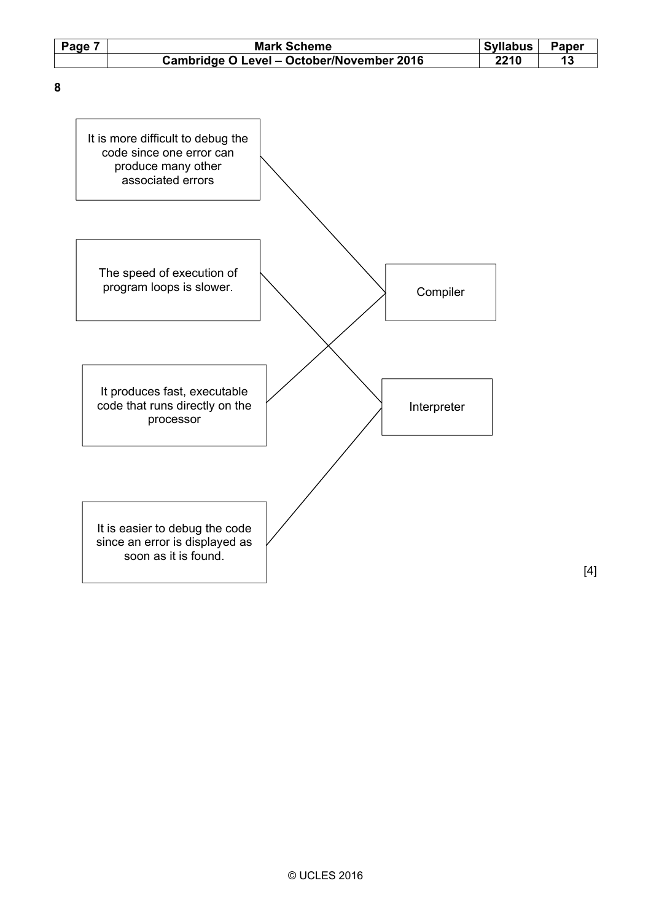| Page 7 | <b>Mark Scheme</b>                        | <b>Syllabus</b> | Paper |  |
|--------|-------------------------------------------|-----------------|-------|--|
|        | Cambridge O Level - October/November 2016 | 2210            |       |  |

**8** 



[4]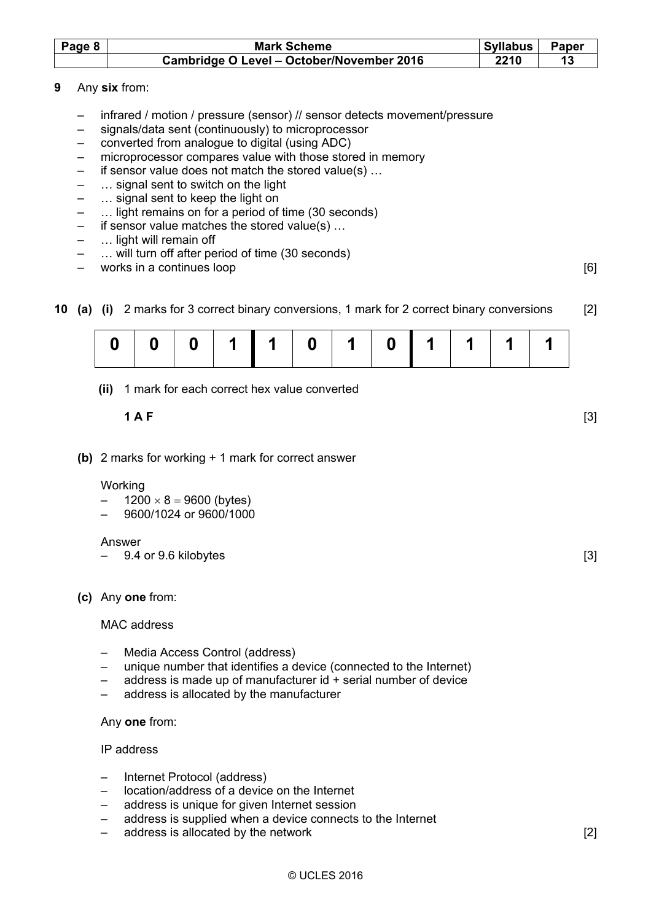| Page 8 | <b>Mark Scheme</b>                        | Syllabus | Paper |
|--------|-------------------------------------------|----------|-------|
|        | Cambridge O Level - October/November 2016 | 2210     |       |

- **9** Any **six** from:
	- infrared / motion / pressure (sensor) // sensor detects movement/pressure
	- signals/data sent (continuously) to microprocessor
	- converted from analogue to digital (using ADC)
	- microprocessor compares value with those stored in memory
	- if sensor value does not match the stored value(s) …
	- … signal sent to switch on the light
	- … signal sent to keep the light on
	- … light remains on for a period of time (30 seconds)
	- if sensor value matches the stored value(s) …
	- ... light will remain off
	- ... will turn off after period of time (30 seconds)
	- works in a continues loop [6]
- **10 (a) (i)** 2 marks for 3 correct binary conversions, 1 mark for 2 correct binary conversions [2]

 **(ii)** 1 mark for each correct hex value converted

# **1 A F** [3]

 **(b)** 2 marks for working + 1 mark for correct answer

#### **Working**

- $1200 \times 8 = 9600$  (bytes)
- 9600/1024 or 9600/1000

#### Answer

- 9.4 or 9.6 kilobytes [3]
- **(c)** Any **one** from:

### MAC address

- Media Access Control (address)
- unique number that identifies a device (connected to the Internet)
- address is made up of manufacturer id + serial number of device
- address is allocated by the manufacturer

### Any **one** from:

## IP address

- Internet Protocol (address)
- location/address of a device on the Internet
- address is unique for given Internet session
- address is supplied when a device connects to the Internet
- address is allocated by the network **EXACTE 121** and the network **[2]**